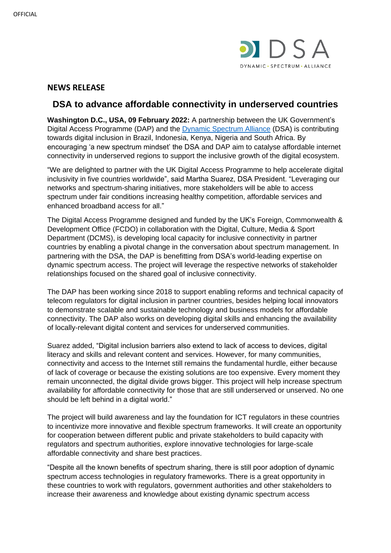

## **NEWS RELEASE**

# **DSA to advance affordable connectivity in underserved countries**

**Washington D.C., USA, 09 February 2022:** A partnership between the UK Government's Digital Access Programme (DAP) and the [Dynamic Spectrum Alliance](http://dynamicspectrumalliance.org/) (DSA) is contributing towards digital inclusion in Brazil, Indonesia, Kenya, Nigeria and South Africa. By encouraging 'a new spectrum mindset' the DSA and DAP aim to catalyse affordable internet connectivity in underserved regions to support the inclusive growth of the digital ecosystem.

"We are delighted to partner with the UK Digital Access Programme to help accelerate digital inclusivity in five countries worldwide", said Martha Suarez, DSA President. "Leveraging our networks and spectrum-sharing initiatives, more stakeholders will be able to access spectrum under fair conditions increasing healthy competition, affordable services and enhanced broadband access for all."

The Digital Access Programme designed and funded by the UK's Foreign, Commonwealth & Development Office (FCDO) in collaboration with the Digital, Culture, Media & Sport Department (DCMS), is developing local capacity for inclusive connectivity in partner countries by enabling a pivotal change in the conversation about spectrum management. In partnering with the DSA, the DAP is benefitting from DSA's world-leading expertise on dynamic spectrum access. The project will leverage the respective networks of stakeholder relationships focused on the shared goal of inclusive connectivity.

The DAP has been working since 2018 to support enabling reforms and technical capacity of telecom regulators for digital inclusion in partner countries, besides helping local innovators to demonstrate scalable and sustainable technology and business models for affordable connectivity. The DAP also works on developing digital skills and enhancing the availability of locally-relevant digital content and services for underserved communities.

Suarez added, "Digital inclusion barriers also extend to lack of access to devices, digital literacy and skills and relevant content and services. However, for many communities, connectivity and access to the Internet still remains the fundamental hurdle, either because of lack of coverage or because the existing solutions are too expensive. Every moment they remain unconnected, the digital divide grows bigger. This project will help increase spectrum availability for affordable connectivity for those that are still underserved or unserved. No one should be left behind in a digital world."

The project will build awareness and lay the foundation for ICT regulators in these countries to incentivize more innovative and flexible spectrum frameworks. It will create an opportunity for cooperation between different public and private stakeholders to build capacity with regulators and spectrum authorities, explore innovative technologies for large-scale affordable connectivity and share best practices.

"Despite all the known benefits of spectrum sharing, there is still poor adoption of dynamic spectrum access technologies in regulatory frameworks. There is a great opportunity in these countries to work with regulators, government authorities and other stakeholders to increase their awareness and knowledge about existing dynamic spectrum access